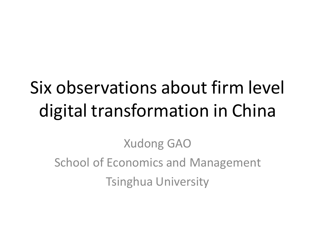# Six observations about firm level digital transformation in China

Xudong GAO School of Economics and Management Tsinghua University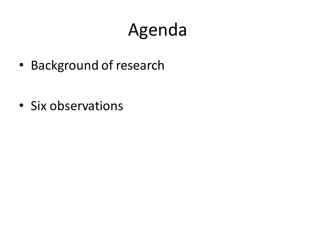# Agenda

• Background of research

• Six observations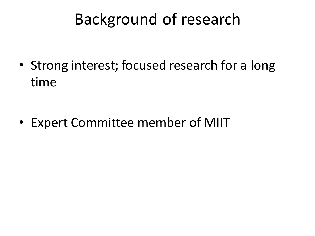### Background of research

• Strong interest; focused research for a long time

• Expert Committee member of MIIT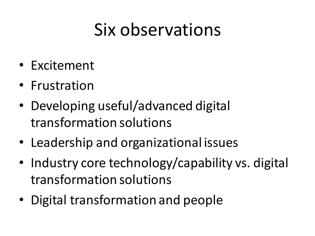# Six observations

- Excitement
- Frustration
- Developing useful/advanced digital transformation solutions
- Leadership and organizational issues
- Industry core technology/capability vs. digital transformation solutions
- Digital transformation and people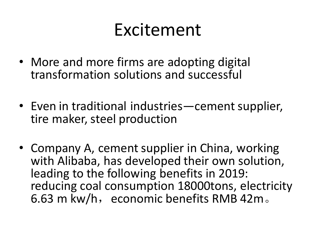## Excitement

- More and more firms are adopting digital transformation solutions and successful
- Even in traditional industries—cement supplier, tire maker, steel production
- Company A, cement supplier in China, working with Alibaba, has developed their own solution, leading to the following benefits in 2019: reducing coal consumption 18000tons, electricity 6.63 m kw/h, economic benefits RMB 42m.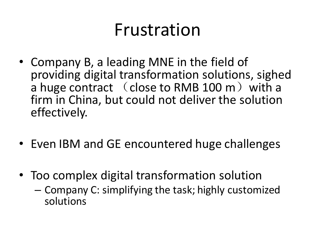## Frustration

- Company B, a leading MNE in the field of providing digital transformation solutions, sighed a huge contract (close to RMB 100 m) with a firm in China, but could not deliver the solution effectively.
- Even IBM and GE encountered huge challenges
- Too complex digital transformation solution
	- Company C: simplifying the task; highly customized solutions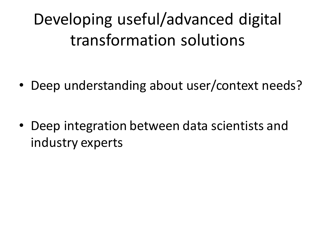Developing useful/advanced digital transformation solutions

• Deep understanding about user/context needs?

• Deep integration between data scientists and industry experts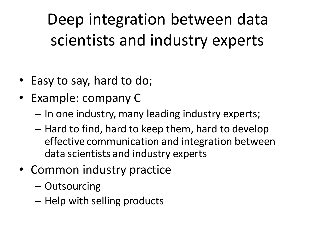Deep integration between data scientists and industry experts

- Easy to say, hard to do;
- Example: company C
	- In one industry, many leading industry experts;
	- Hard to find, hard to keep them, hard to develop effective communication and integration between data scientists and industry experts
- Common industry practice
	- Outsourcing
	- Help with selling products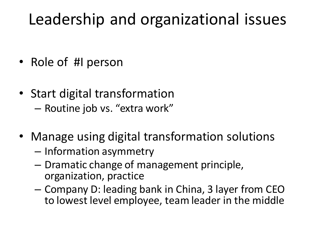### Leadership and organizational issues

- Role of #I person
- Start digital transformation – Routine job vs. "extra work"
- Manage using digital transformation solutions
	- Information asymmetry
	- Dramatic change of management principle, organization, practice
	- Company D: leading bank in China, 3 layer from CEO to lowest level employee, team leader in the middle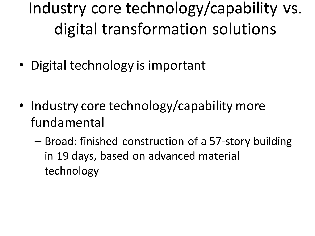Industry core technology/capability vs. digital transformation solutions

• Digital technology is important

- Industry core technology/capability more fundamental
	- Broad: finished construction of a 57-story building in 19 days, based on advanced material technology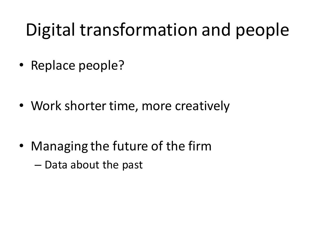# Digital transformation and people

• Replace people?

• Work shorter time, more creatively

• Managing the future of the firm – Data about the past